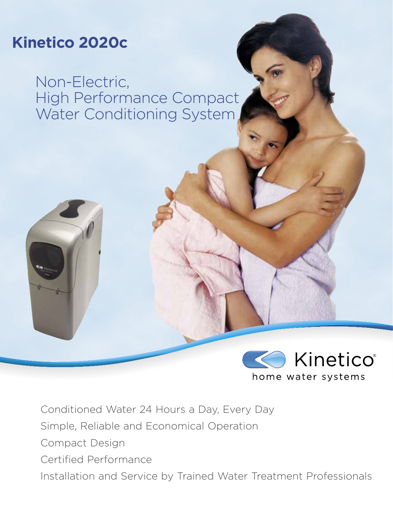# **Kinetico 2020c**

Non-Electric, High Performance Compact Water Conditioning System



Conditioned Water 24 Hours a Day, Every Day Simple, Reliable and Economical Operation Compact Design Certified Performance Installation and Service by Trained Water Treatment Professionals